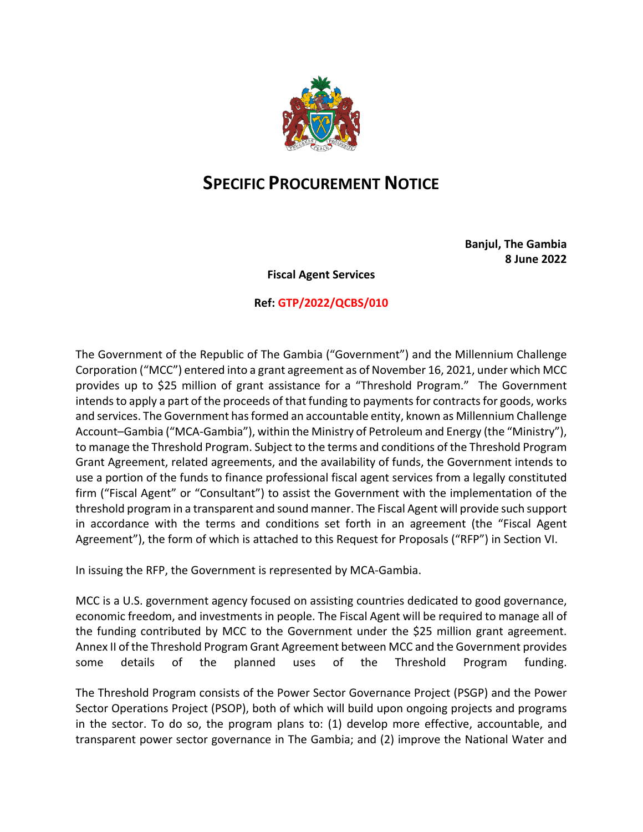

## **SPECIFIC PROCUREMENT NOTICE**

**Banjul, The Gambia 8 June 2022**

**Fiscal Agent Services**

## **Ref: GTP/2022/QCBS/010**

The Government of the Republic of The Gambia ("Government") and the Millennium Challenge Corporation ("MCC") entered into a grant agreement as of November 16, 2021, under which MCC provides up to \$25 million of grant assistance for a "Threshold Program." The Government intends to apply a part of the proceeds of that funding to payments for contracts for goods, works and services. The Government has formed an accountable entity, known as Millennium Challenge Account–Gambia ("MCA-Gambia"), within the Ministry of Petroleum and Energy (the "Ministry"), to manage the Threshold Program. Subject to the terms and conditions of the Threshold Program Grant Agreement, related agreements, and the availability of funds, the Government intends to use a portion of the funds to finance professional fiscal agent services from a legally constituted firm ("Fiscal Agent" or "Consultant") to assist the Government with the implementation of the threshold program in a transparent and sound manner. The Fiscal Agent will provide such support in accordance with the terms and conditions set forth in an agreement (the "Fiscal Agent Agreement"), the form of which is attached to this Request for Proposals ("RFP") in Section VI.

In issuing the RFP, the Government is represented by MCA-Gambia.

MCC is a U.S. government agency focused on assisting countries dedicated to good governance, economic freedom, and investments in people. The Fiscal Agent will be required to manage all of the funding contributed by MCC to the Government under the \$25 million grant agreement. Annex II of the Threshold Program Grant Agreement between MCC and the Government provides some details of the planned uses of the Threshold Program funding.

The Threshold Program consists of the Power Sector Governance Project (PSGP) and the Power Sector Operations Project (PSOP), both of which will build upon ongoing projects and programs in the sector. To do so, the program plans to: (1) develop more effective, accountable, and transparent power sector governance in The Gambia; and (2) improve the National Water and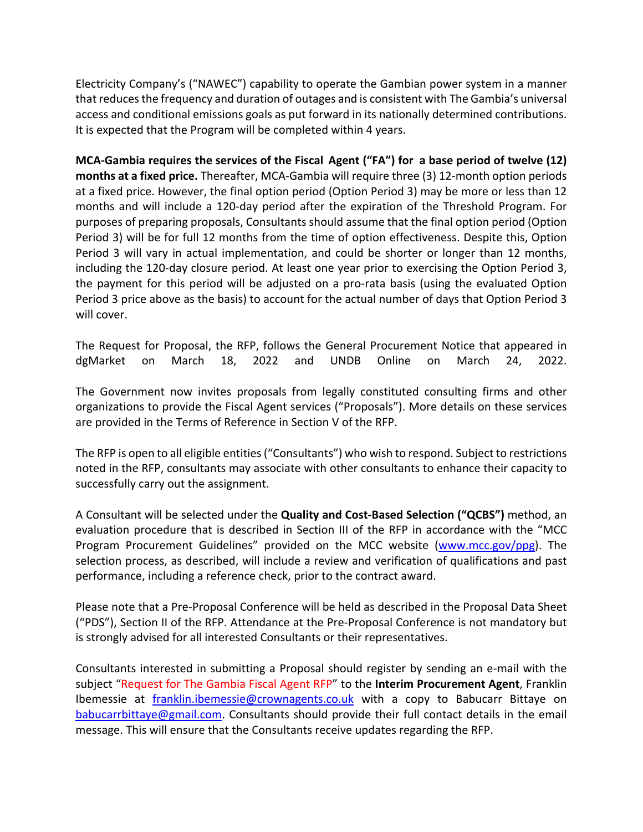Electricity Company's ("NAWEC") capability to operate the Gambian power system in a manner that reduces the frequency and duration of outages and is consistent with The Gambia's universal access and conditional emissions goals as put forward in its nationally determined contributions. It is expected that the Program will be completed within 4 years.

**MCA-Gambia requires the services of the Fiscal Agent ("FA") for a base period of twelve (12) months at a fixed price.** Thereafter, MCA-Gambia will require three (3) 12-month option periods at a fixed price. However, the final option period (Option Period 3) may be more or less than 12 months and will include a 120-day period after the expiration of the Threshold Program. For purposes of preparing proposals, Consultants should assume that the final option period (Option Period 3) will be for full 12 months from the time of option effectiveness. Despite this, Option Period 3 will vary in actual implementation, and could be shorter or longer than 12 months, including the 120-day closure period. At least one year prior to exercising the Option Period 3, the payment for this period will be adjusted on a pro-rata basis (using the evaluated Option Period 3 price above as the basis) to account for the actual number of days that Option Period 3 will cover.

The Request for Proposal, the RFP, follows the General Procurement Notice that appeared in dgMarket on March 18, 2022 and UNDB Online on March 24, 2022.

The Government now invites proposals from legally constituted consulting firms and other organizations to provide the Fiscal Agent services ("Proposals"). More details on these services are provided in the Terms of Reference in Section V of the RFP.

The RFP is open to all eligible entities ("Consultants") who wish to respond. Subject to restrictions noted in the RFP, consultants may associate with other consultants to enhance their capacity to successfully carry out the assignment.

A Consultant will be selected under the **Quality and Cost-Based Selection ("QCBS")** method, an evaluation procedure that is described in Section III of the RFP in accordance with the "MCC Program Procurement Guidelines" provided on the MCC website (www.mcc.gov/ppg). The selection process, as described, will include a review and verification of qualifications and past performance, including a reference check, prior to the contract award.

Please note that a Pre-Proposal Conference will be held as described in the Proposal Data Sheet ("PDS"), Section II of the RFP. Attendance at the Pre-Proposal Conference is not mandatory but is strongly advised for all interested Consultants or their representatives.

Consultants interested in submitting a Proposal should register by sending an e-mail with the subject "Request for The Gambia Fiscal Agent RFP" to the **Interim Procurement Agent**, Franklin Ibemessie at franklin.ibemessie@crownagents.co.uk with a copy to Babucarr Bittaye on babucarrbittaye@gmail.com. Consultants should provide their full contact details in the email message. This will ensure that the Consultants receive updates regarding the RFP.